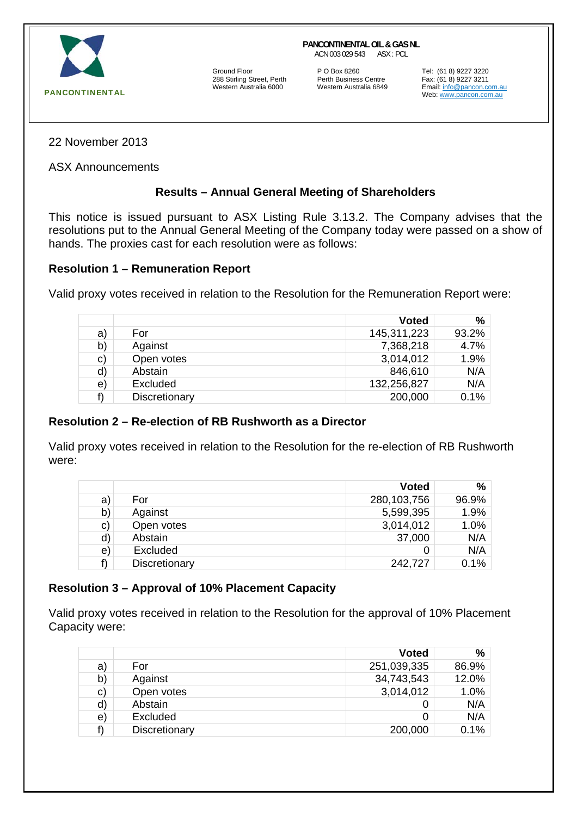

Ground Floor **P O Box 8260** Tel: (61 8) 9227 3220<br>
288 Stirling Street, Perth **Perth Business Centre** Fax: (61 8) 9227 3211 288 Stirling Street, Perth Perth Business Centre<br>Western Australia 6000 921 Western Australia 6849

**PANCONTINENTAL OIL & GAS NL** ACN 003 029 543 ASX : PCL

> Email: info@pancon.com.au Web: www.pancon.com.au

22 November 2013

ASX Announcements

## **Results – Annual General Meeting of Shareholders**

This notice is issued pursuant to ASX Listing Rule 3.13.2. The Company advises that the resolutions put to the Annual General Meeting of the Company today were passed on a show of hands. The proxies cast for each resolution were as follows:

## **Resolution 1 – Remuneration Report**

Valid proxy votes received in relation to the Resolution for the Remuneration Report were:

|    |               | <b>Voted</b> | %        |
|----|---------------|--------------|----------|
| a) | For           | 145,311,223  | $93.2\%$ |
| b) | Against       | 7,368,218    | 4.7%     |
| c) | Open votes    | 3,014,012    | 1.9%     |
| d) | Abstain       | 846,610      | N/A      |
| e) | Excluded      | 132,256,827  | N/A      |
| f) | Discretionary | 200,000      | $0.1\%$  |

## **Resolution 2 – Re-election of RB Rushworth as a Director**

Valid proxy votes received in relation to the Resolution for the re-election of RB Rushworth were:

|               | <b>Voted</b> | ℅     |
|---------------|--------------|-------|
| For           | 280,103,756  | 96.9% |
| Against       | 5,599,395    | 1.9%  |
| Open votes    | 3,014,012    | 1.0%  |
| Abstain       | 37,000       | N/A   |
| Excluded      |              | N/A   |
| Discretionary | 242,727      | 0.1%  |
|               |              |       |

## **Resolution 3 – Approval of 10% Placement Capacity**

Valid proxy votes received in relation to the Resolution for the approval of 10% Placement Capacity were:

|               | <b>Voted</b> | %     |
|---------------|--------------|-------|
| For           | 251,039,335  | 86.9% |
| Against       | 34,743,543   | 12.0% |
| Open votes    | 3,014,012    | 1.0%  |
| Abstain       |              | N/A   |
| Excluded      |              | N/A   |
| Discretionary | 200,000      | 0.1%  |
|               |              |       |